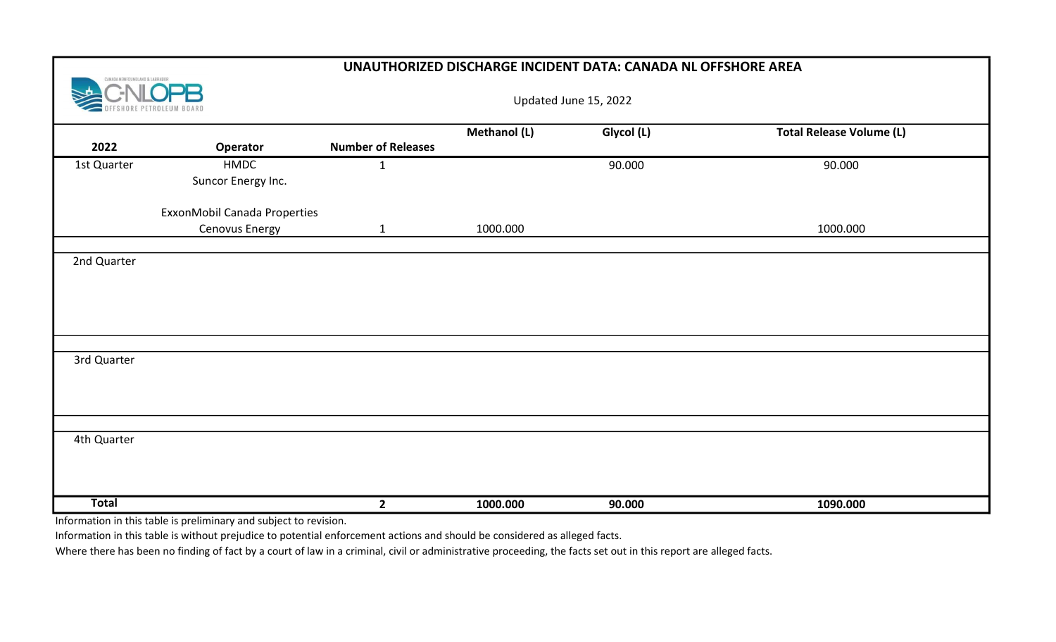|                                | UNAUTHORIZED DISCHARGE INCIDENT DATA: CANADA NL OFFSHORE AREA                                                       |                           |              |            |                                 |  |  |  |  |  |
|--------------------------------|---------------------------------------------------------------------------------------------------------------------|---------------------------|--------------|------------|---------------------------------|--|--|--|--|--|
| CANADA-NEWFOUNDLAND & LABRADOR |                                                                                                                     | Updated June 15, 2022     |              |            |                                 |  |  |  |  |  |
| 2022                           | Operator                                                                                                            | <b>Number of Releases</b> | Methanol (L) | Glycol (L) | <b>Total Release Volume (L)</b> |  |  |  |  |  |
| 1st Quarter                    | HMDC<br>Suncor Energy Inc.                                                                                          | $\mathbf{1}$              |              | 90.000     | 90.000                          |  |  |  |  |  |
|                                | ExxonMobil Canada Properties<br>Cenovus Energy                                                                      | $\mathbf{1}$              | 1000.000     |            | 1000.000                        |  |  |  |  |  |
| 2nd Quarter                    |                                                                                                                     |                           |              |            |                                 |  |  |  |  |  |
| 3rd Quarter                    |                                                                                                                     |                           |              |            |                                 |  |  |  |  |  |
| 4th Quarter                    |                                                                                                                     |                           |              |            |                                 |  |  |  |  |  |
| <b>Total</b>                   | والمراجع والمستحدث والأرابط المتقرب المالق المراج المرابط القطاعيون<br>والمتلاحظ والمستريم والمستوع المنافذ والمتعد | $2^{\circ}$               | 1000.000     | 90.000     | 1090.000                        |  |  |  |  |  |

Information in this table is preliminary and subject to revision.

Information in this table is without prejudice to potential enforcement actions and should be considered as alleged facts.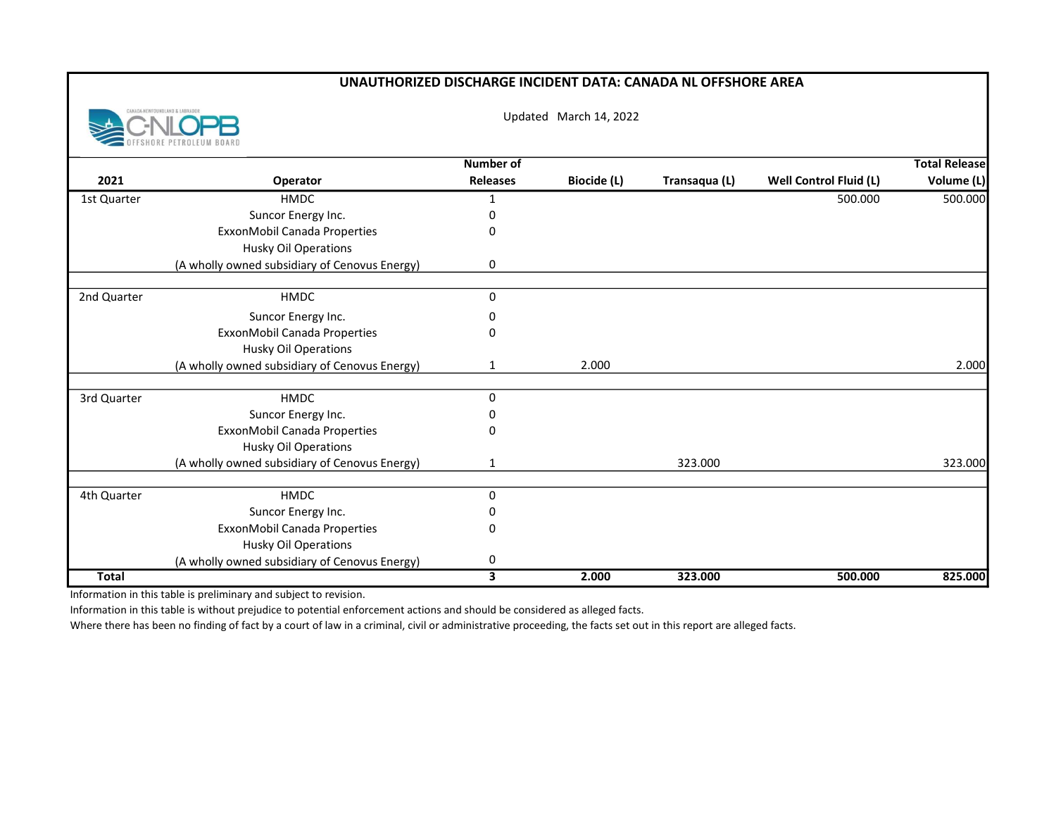## UNAUTHORIZED DISCHARGE INCIDENT DATA: CANADA NL OFFSHORE AREA



Updated March 14, 2022

|              |                                               | <b>Number of</b>        |                    |               |                        | <b>Total Release</b> |
|--------------|-----------------------------------------------|-------------------------|--------------------|---------------|------------------------|----------------------|
| 2021         | Operator                                      | <b>Releases</b>         | <b>Biocide (L)</b> | Transaqua (L) | Well Control Fluid (L) | Volume (L)           |
| 1st Quarter  | <b>HMDC</b>                                   | 1                       |                    |               | 500.000                | 500.000              |
|              | Suncor Energy Inc.                            | 0                       |                    |               |                        |                      |
|              | ExxonMobil Canada Properties                  | 0                       |                    |               |                        |                      |
|              | <b>Husky Oil Operations</b>                   |                         |                    |               |                        |                      |
|              | (A wholly owned subsidiary of Cenovus Energy) | 0                       |                    |               |                        |                      |
| 2nd Quarter  | <b>HMDC</b>                                   | $\mathbf 0$             |                    |               |                        |                      |
|              | Suncor Energy Inc.                            | 0                       |                    |               |                        |                      |
|              | ExxonMobil Canada Properties                  | 0                       |                    |               |                        |                      |
|              | <b>Husky Oil Operations</b>                   |                         |                    |               |                        |                      |
|              | (A wholly owned subsidiary of Cenovus Energy) | $\mathbf{1}$            | 2.000              |               |                        | 2.000                |
|              |                                               |                         |                    |               |                        |                      |
| 3rd Quarter  | <b>HMDC</b>                                   | 0                       |                    |               |                        |                      |
|              | Suncor Energy Inc.                            | 0                       |                    |               |                        |                      |
|              | ExxonMobil Canada Properties                  | 0                       |                    |               |                        |                      |
|              | <b>Husky Oil Operations</b>                   |                         |                    |               |                        |                      |
|              | (A wholly owned subsidiary of Cenovus Energy) | 1                       |                    | 323.000       |                        | 323.000              |
| 4th Quarter  | <b>HMDC</b>                                   | 0                       |                    |               |                        |                      |
|              | Suncor Energy Inc.                            | 0                       |                    |               |                        |                      |
|              | ExxonMobil Canada Properties                  | 0                       |                    |               |                        |                      |
|              | <b>Husky Oil Operations</b>                   |                         |                    |               |                        |                      |
|              | (A wholly owned subsidiary of Cenovus Energy) | 0                       |                    |               |                        |                      |
| <b>Total</b> |                                               | $\overline{\mathbf{3}}$ | 2.000              | 323.000       | 500.000                | 825.000              |

Information in this table is preliminary and subject to revision.

Information in this table is without prejudice to potential enforcement actions and should be considered as alleged facts.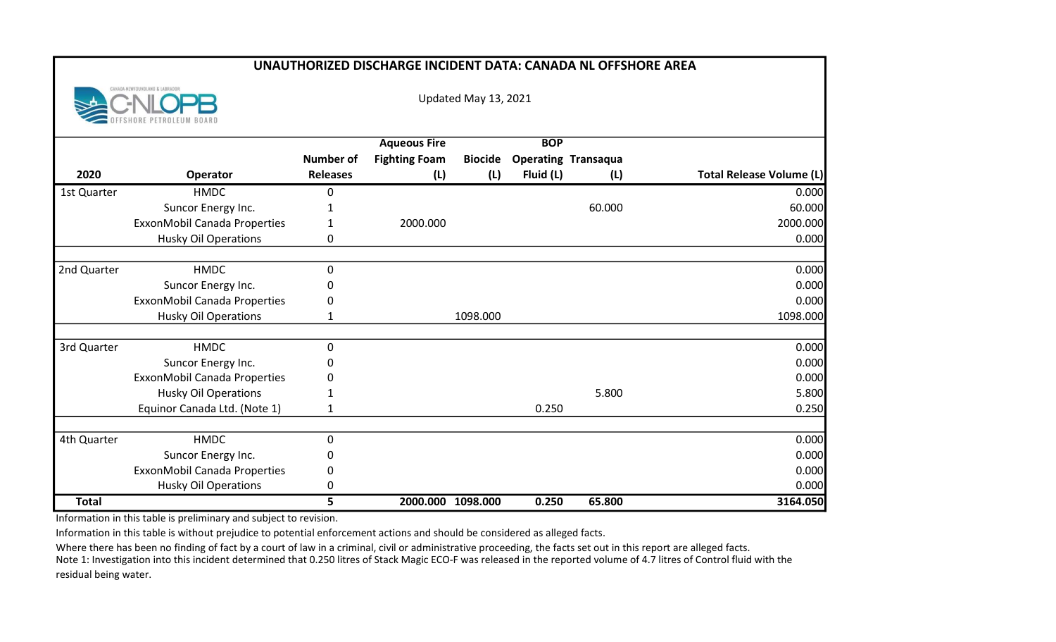| <b>UNAUTHORIZED DISCHARGE INCIDENT DATA: CANADA NL OFFSHORE AREA</b> |                                |                  |                      |                |            |                            |                                 |  |  |
|----------------------------------------------------------------------|--------------------------------|------------------|----------------------|----------------|------------|----------------------------|---------------------------------|--|--|
|                                                                      | CANADA-NEWFOUNDLAND & LABRADOR |                  | Updated May 13, 2021 |                |            |                            |                                 |  |  |
|                                                                      |                                |                  | <b>Aqueous Fire</b>  |                | <b>BOP</b> |                            |                                 |  |  |
|                                                                      |                                | <b>Number of</b> | <b>Fighting Foam</b> | <b>Biocide</b> |            | <b>Operating Transaqua</b> |                                 |  |  |
| 2020                                                                 | Operator                       | <b>Releases</b>  | (L)                  | (L)            | Fluid (L)  | (L)                        | <b>Total Release Volume (L)</b> |  |  |
| 1st Quarter                                                          | <b>HMDC</b>                    | 0                |                      |                |            |                            | 0.000                           |  |  |
|                                                                      | Suncor Energy Inc.             | $\mathbf 1$      |                      |                |            | 60.000                     | 60.000                          |  |  |
|                                                                      | ExxonMobil Canada Properties   | 1                | 2000.000             |                |            |                            | 2000.000                        |  |  |
|                                                                      | <b>Husky Oil Operations</b>    | 0                |                      |                |            |                            | 0.000                           |  |  |
|                                                                      |                                |                  |                      |                |            |                            |                                 |  |  |
| 2nd Quarter                                                          | <b>HMDC</b>                    | 0                |                      |                |            |                            | 0.000                           |  |  |
|                                                                      | Suncor Energy Inc.             | 0                |                      |                |            |                            | 0.000                           |  |  |
|                                                                      | ExxonMobil Canada Properties   | 0                |                      |                |            |                            | 0.000                           |  |  |
|                                                                      | <b>Husky Oil Operations</b>    | 1                |                      | 1098.000       |            |                            | 1098.000                        |  |  |
|                                                                      |                                |                  |                      |                |            |                            |                                 |  |  |
| 3rd Quarter                                                          | <b>HMDC</b>                    | 0                |                      |                |            |                            | 0.000                           |  |  |
|                                                                      | Suncor Energy Inc.             | 0                |                      |                |            |                            | 0.000                           |  |  |
|                                                                      | ExxonMobil Canada Properties   | 0                |                      |                |            |                            | 0.000                           |  |  |
|                                                                      | <b>Husky Oil Operations</b>    | 1                |                      |                |            | 5.800                      | 5.800                           |  |  |
|                                                                      | Equinor Canada Ltd. (Note 1)   | 1                |                      |                | 0.250      |                            | 0.250                           |  |  |
|                                                                      |                                |                  |                      |                |            |                            |                                 |  |  |
| 4th Quarter                                                          | <b>HMDC</b>                    | 0                |                      |                |            |                            | 0.000                           |  |  |
|                                                                      | Suncor Energy Inc.             | 0                |                      |                |            |                            | 0.000                           |  |  |
|                                                                      | ExxonMobil Canada Properties   | 0                |                      |                |            |                            | 0.000                           |  |  |
|                                                                      | <b>Husky Oil Operations</b>    | 0                |                      |                |            |                            | 0.000                           |  |  |
| <b>Total</b>                                                         |                                | 5                | 2000.000 1098.000    |                | 0.250      | 65.800                     | 3164.050                        |  |  |

Information in this table is preliminary and subject to revision.

Information in this table is without prejudice to potential enforcement actions and should be considered as alleged facts.

Where there has been no finding of fact by a court of law in a criminal, civil or administrative proceeding, the facts set out in this report are alleged facts. Note 1: Investigation into this incident determined that 0.250 litres of Stack Magic ECO-F was released in the reported volume of 4.7 litres of Control fluid with the residual being water.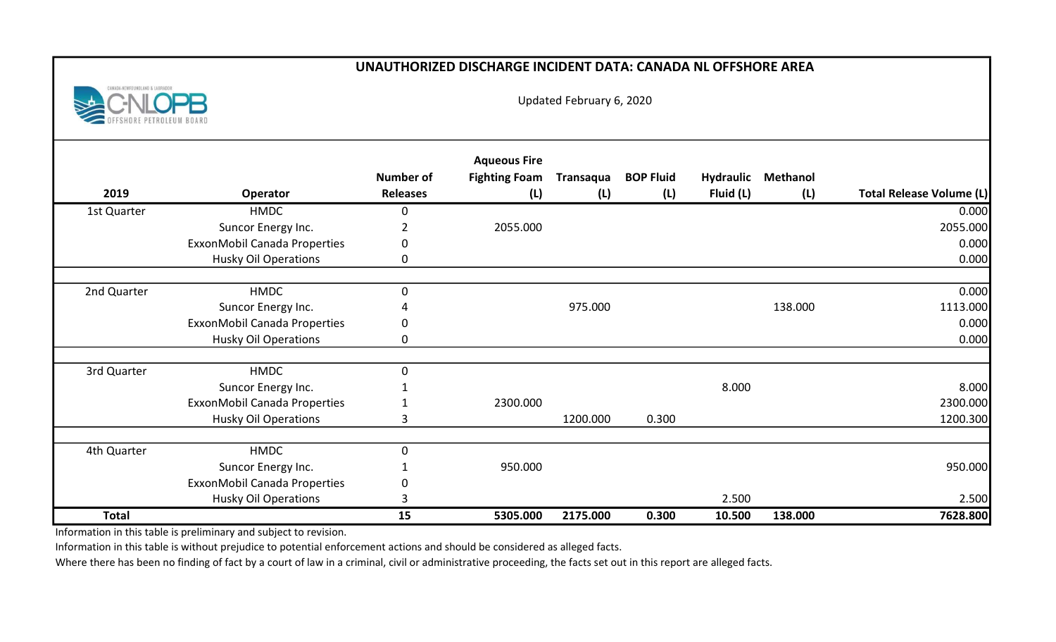## UNAUTHORIZED DISCHARGE INCIDENT DATA: CANADA NL OFFSHORE AREA



Updated February 6, 2020

| 2019         | Operator                     | <b>Number of</b><br><b>Releases</b> | <b>Aqueous Fire</b><br><b>Fighting Foam</b><br>(L) | Transaqua<br>(L) | <b>BOP Fluid</b><br>(L) | <b>Hydraulic</b><br>Fluid (L) | <b>Methanol</b><br>(L) | <b>Total Release Volume (L)</b> |
|--------------|------------------------------|-------------------------------------|----------------------------------------------------|------------------|-------------------------|-------------------------------|------------------------|---------------------------------|
|              | <b>HMDC</b>                  |                                     |                                                    |                  |                         |                               |                        | 0.000                           |
| 1st Quarter  |                              | 0                                   | 2055.000                                           |                  |                         |                               |                        | 2055.000                        |
|              | Suncor Energy Inc.           |                                     |                                                    |                  |                         |                               |                        |                                 |
|              | ExxonMobil Canada Properties | 0                                   |                                                    |                  |                         |                               |                        | 0.000                           |
|              | <b>Husky Oil Operations</b>  | 0                                   |                                                    |                  |                         |                               |                        | 0.000                           |
| 2nd Quarter  | <b>HMDC</b>                  | $\mathbf 0$                         |                                                    |                  |                         |                               |                        | 0.000                           |
|              | Suncor Energy Inc.           |                                     |                                                    | 975.000          |                         |                               | 138.000                | 1113.000                        |
|              | ExxonMobil Canada Properties | 0                                   |                                                    |                  |                         |                               |                        | 0.000                           |
|              | <b>Husky Oil Operations</b>  | 0                                   |                                                    |                  |                         |                               |                        | 0.000                           |
|              |                              |                                     |                                                    |                  |                         |                               |                        |                                 |
| 3rd Quarter  | <b>HMDC</b>                  | $\mathbf 0$                         |                                                    |                  |                         |                               |                        |                                 |
|              | Suncor Energy Inc.           |                                     |                                                    |                  |                         | 8.000                         |                        | 8.000                           |
|              | ExxonMobil Canada Properties |                                     | 2300.000                                           |                  |                         |                               |                        | 2300.000                        |
|              | <b>Husky Oil Operations</b>  | 3                                   |                                                    | 1200.000         | 0.300                   |                               |                        | 1200.300                        |
|              |                              |                                     |                                                    |                  |                         |                               |                        |                                 |
| 4th Quarter  | <b>HMDC</b>                  | 0                                   |                                                    |                  |                         |                               |                        |                                 |
|              | Suncor Energy Inc.           |                                     | 950.000                                            |                  |                         |                               |                        | 950.000                         |
|              | ExxonMobil Canada Properties | 0                                   |                                                    |                  |                         |                               |                        |                                 |
|              | <b>Husky Oil Operations</b>  | 3                                   |                                                    |                  |                         | 2.500                         |                        | 2.500                           |
| <b>Total</b> |                              | 15                                  | 5305.000                                           | 2175.000         | 0.300                   | 10.500                        | 138.000                | 7628.800                        |

Information in this table is preliminary and subject to revision.

Information in this table is without prejudice to potential enforcement actions and should be considered as alleged facts.